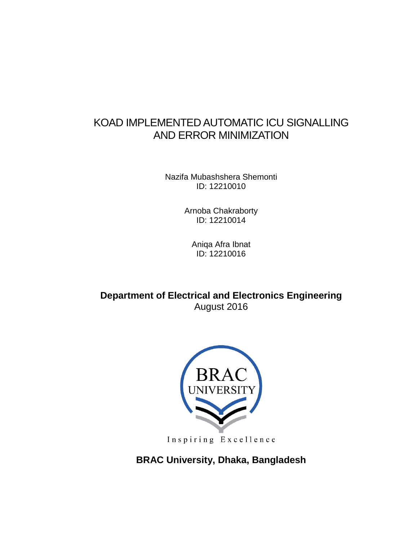# KOAD IMPLEMENTED AUTOMATIC ICU SIGNALLING AND ERROR MINIMIZATION

Nazifa Mubashshera Shemonti ID: 12210010

> Arnoba Chakraborty ID: 12210014

Aniqa Afra Ibnat ID: 12210016

**Department of Electrical and Electronics Engineering** August 2016



Inspiring Excellence

**BRAC University, Dhaka, Bangladesh**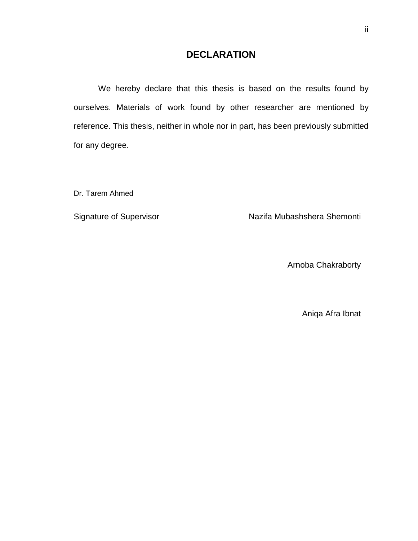## **DECLARATION**

We hereby declare that this thesis is based on the results found by ourselves. Materials of work found by other researcher are mentioned by reference. This thesis, neither in whole nor in part, has been previously submitted for any degree.

Dr. Tarem Ahmed

Signature of Supervisor **Nazifa Mubashshera Shemonti** 

Arnoba Chakraborty

Aniqa Afra Ibnat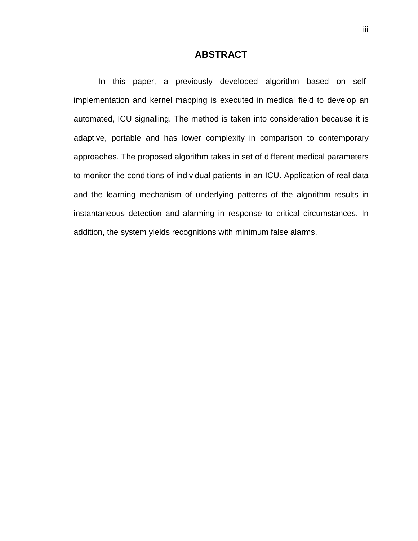## **ABSTRACT**

In this paper, a previously developed algorithm based on selfimplementation and kernel mapping is executed in medical field to develop an automated, ICU signalling. The method is taken into consideration because it is adaptive, portable and has lower complexity in comparison to contemporary approaches. The proposed algorithm takes in set of different medical parameters to monitor the conditions of individual patients in an ICU. Application of real data and the learning mechanism of underlying patterns of the algorithm results in instantaneous detection and alarming in response to critical circumstances. In addition, the system yields recognitions with minimum false alarms.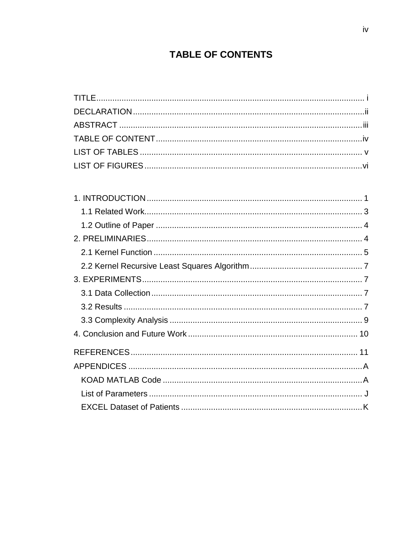# **TABLE OF CONTENTS**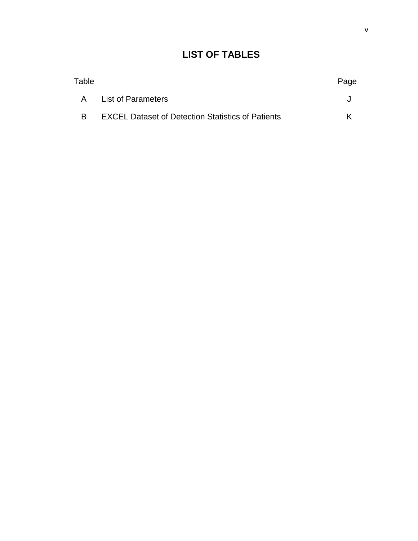#### v

## **LIST OF TABLES**

| Table |                                                          | Page |
|-------|----------------------------------------------------------|------|
|       | A List of Parameters                                     |      |
|       | <b>EXCEL Dataset of Detection Statistics of Patients</b> |      |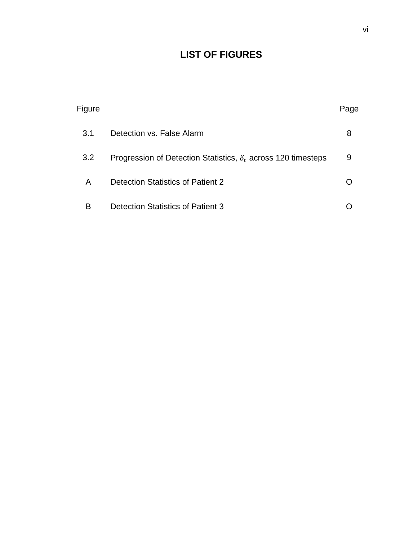# **LIST OF FIGURES**

| Figure |                                                                      | Page |
|--------|----------------------------------------------------------------------|------|
| 3.1    | Detection vs. False Alarm                                            | 8    |
| 3.2    | Progression of Detection Statistics, $\delta_t$ across 120 timesteps | 9    |
| A      | Detection Statistics of Patient 2                                    |      |
| в      | <b>Detection Statistics of Patient 3</b>                             |      |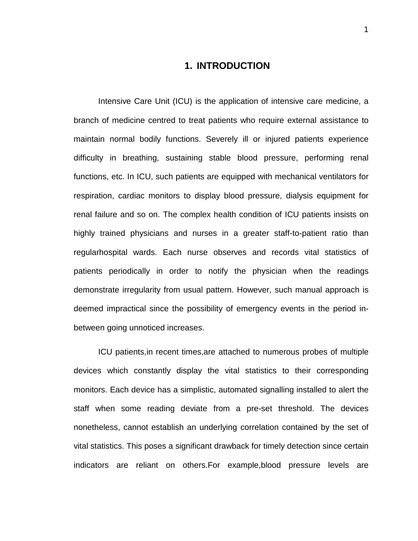### **1. INTRODUCTION**

Intensive Care Unit (ICU) is the application of intensive care medicine, a branch of medicine centred to treat patients who require external assistance to maintain normal bodily functions. Severely ill or injured patients experience difficulty in breathing, sustaining stable blood pressure, performing renal functions, etc. In ICU, such patients are equipped with mechanical ventilators for respiration, cardiac monitors to display blood pressure, dialysis equipment for renal failure and so on. The complex health condition of ICU patients insists on highly trained physicians and nurses in a greater staff-to-patient ratio than regularhospital wards. Each nurse observes and records vital statistics of patients periodically in order to notify the physician when the readings demonstrate irregularity from usual pattern. However, such manual approach is deemed impractical since the possibility of emergency events in the period inbetween going unnoticed increases.

ICU patients,in recent times,are attached to numerous probes of multiple devices which constantly display the vital statistics to their corresponding monitors. Each device has a simplistic, automated signalling installed to alert the staff when some reading deviate from a pre-set threshold. The devices nonetheless, cannot establish an underlying correlation contained by the set of vital statistics. This poses a significant drawback for timely detection since certain indicators are reliant on others.For example,blood pressure levels are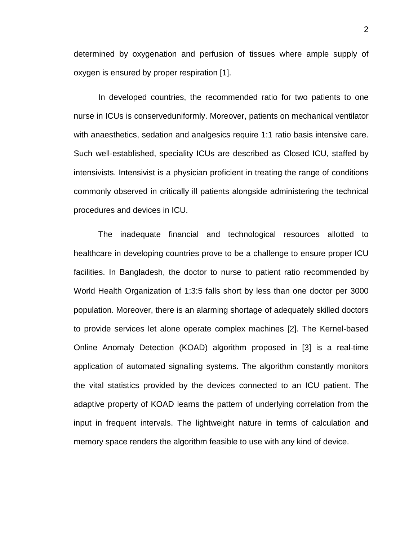determined by oxygenation and perfusion of tissues where ample supply of oxygen is ensured by proper respiration [1].

In developed countries, the recommended ratio for two patients to one nurse in ICUs is conserveduniformly. Moreover, patients on mechanical ventilator with anaesthetics, sedation and analgesics require 1:1 ratio basis intensive care. Such well-established, speciality ICUs are described as Closed ICU, staffed by intensivists. Intensivist is a physician proficient in treating the range of conditions commonly observed in critically ill patients alongside administering the technical procedures and devices in ICU.

The inadequate financial and technological resources allotted to healthcare in developing countries prove to be a challenge to ensure proper ICU facilities. In Bangladesh, the doctor to nurse to patient ratio recommended by World Health Organization of 1:3:5 falls short by less than one doctor per 3000 population. Moreover, there is an alarming shortage of adequately skilled doctors to provide services let alone operate complex machines [2]. The Kernel-based Online Anomaly Detection (KOAD) algorithm proposed in [3] is a real-time application of automated signalling systems. The algorithm constantly monitors the vital statistics provided by the devices connected to an ICU patient. The adaptive property of KOAD learns the pattern of underlying correlation from the input in frequent intervals. The lightweight nature in terms of calculation and memory space renders the algorithm feasible to use with any kind of device.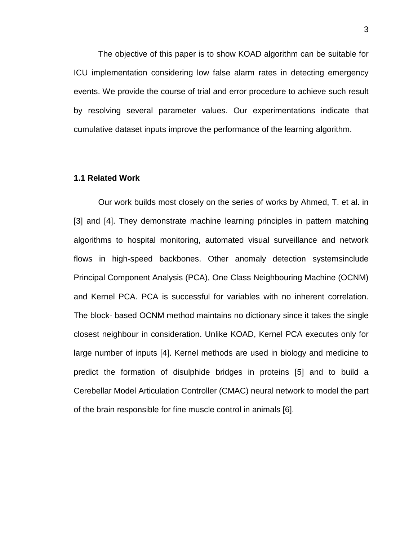The objective of this paper is to show KOAD algorithm can be suitable for ICU implementation considering low false alarm rates in detecting emergency events. We provide the course of trial and error procedure to achieve such result by resolving several parameter values. Our experimentations indicate that cumulative dataset inputs improve the performance of the learning algorithm.

### **1.1 Related Work**

Our work builds most closely on the series of works by Ahmed, T. et al. in [3] and [4]. They demonstrate machine learning principles in pattern matching algorithms to hospital monitoring, automated visual surveillance and network flows in high-speed backbones. Other anomaly detection systemsinclude Principal Component Analysis (PCA), One Class Neighbouring Machine (OCNM) and Kernel PCA. PCA is successful for variables with no inherent correlation. The block- based OCNM method maintains no dictionary since it takes the single closest neighbour in consideration. Unlike KOAD, Kernel PCA executes only for large number of inputs [4]. Kernel methods are used in biology and medicine to predict the formation of disulphide bridges in proteins [5] and to build a Cerebellar Model Articulation Controller (CMAC) neural network to model the part of the brain responsible for fine muscle control in animals [6].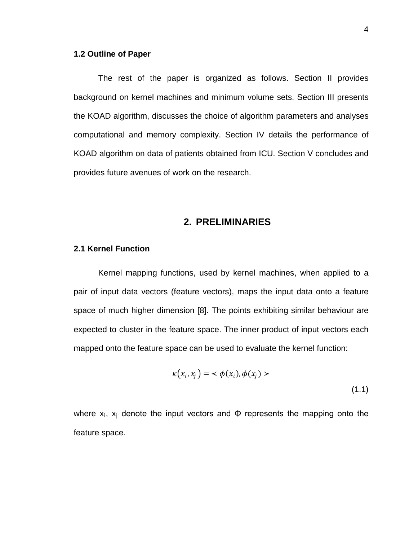### **1.2 Outline of Paper**

The rest of the paper is organized as follows. Section II provides background on kernel machines and minimum volume sets. Section III presents the KOAD algorithm, discusses the choice of algorithm parameters and analyses computational and memory complexity. Section IV details the performance of KOAD algorithm on data of patients obtained from ICU. Section V concludes and provides future avenues of work on the research.

### **2. PRELIMINARIES**

### **2.1 Kernel Function**

Kernel mapping functions, used by kernel machines, when applied to a pair of input data vectors (feature vectors), maps the input data onto a feature space of much higher dimension [8]. The points exhibiting similar behaviour are expected to cluster in the feature space. The inner product of input vectors each mapped onto the feature space can be used to evaluate the kernel function:

$$
\kappa(x_i, x_j) = \langle \phi(x_i), \phi(x_j) \rangle \tag{1.1}
$$

where  $x_i$ ,  $x_i$  denote the input vectors and  $\Phi$  represents the mapping onto the feature space.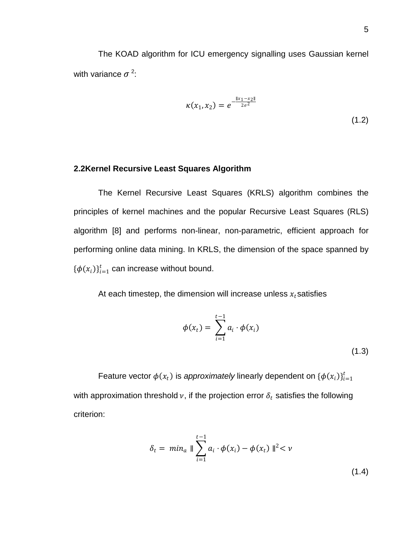The KOAD algorithm for ICU emergency signalling uses Gaussian kernel with variance  $\sigma^2$ :

$$
\kappa(x_1, x_2) = e^{-\frac{\|x_1 - x_2\|}{2\sigma^2}}
$$
\n(1.2)

### **2.2Kernel Recursive Least Squares Algorithm**

The Kernel Recursive Least Squares (KRLS) algorithm combines the principles of kernel machines and the popular Recursive Least Squares (RLS) algorithm [8] and performs non-linear, non-parametric, efficient approach for performing online data mining. In KRLS, the dimension of the space spanned by  $\{\boldsymbol{\phi}(x_i)\}_{i=1}^t$  can increase without bound.

At each timestep, the dimension will increase unless  $x_t$  satisfies

$$
\phi(x_t) = \sum_{i=1}^{t-1} a_i \cdot \phi(x_i)
$$
\n(1.3)

Feature vector  $\phi(x_t)$  is *approximately* linearly dependent on  $\{\phi(x_i)\}_{i=1}^t$ with approximation threshold  $\nu$ , if the projection error  $\delta_t$  satisfies the following criterion:

$$
\delta_t = \min_a \|\sum_{i=1}^{t-1} a_i \cdot \phi(x_i) - \phi(x_t)\|^2 < \nu
$$
\n(1.4)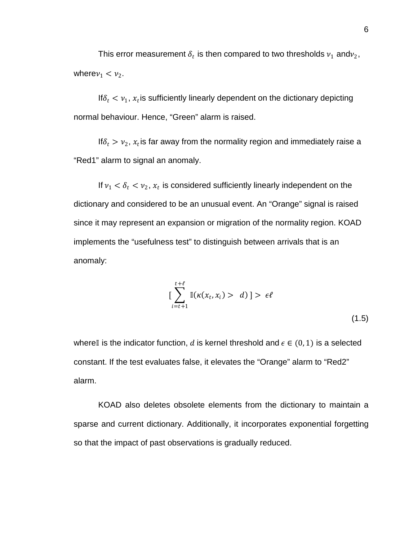This error measurement  $\delta_t$  is then compared to two thresholds  $v_1$  and $v_2$ , where  $\nu_1 < \nu_2$ .

If  $\delta_t < v_1$ ,  $x_t$  is sufficiently linearly dependent on the dictionary depicting normal behaviour. Hence, "Green" alarm is raised.

If  $\delta_t > v_2$ ,  $x_t$  is far away from the normality region and immediately raise a "Red1" alarm to signal an anomaly.

If  $v_1 < \delta_t < v_2$ ,  $x_t$  is considered sufficiently linearly independent on the dictionary and considered to be an unusual event. An "Orange" signal is raised since it may represent an expansion or migration of the normality region. KOAD implements the "usefulness test" to distinguish between arrivals that is an anomaly:

$$
\left[\sum_{i=t+1}^{t+\ell} \mathbb{I}(\kappa(x_t, x_i) > d)\right] > \epsilon\ell \tag{1.5}
$$

where is the indicator function, d is kernel threshold and  $\epsilon \in (0,1)$  is a selected constant. If the test evaluates false, it elevates the "Orange" alarm to "Red2" alarm.

KOAD also deletes obsolete elements from the dictionary to maintain a sparse and current dictionary. Additionally, it incorporates exponential forgetting so that the impact of past observations is gradually reduced.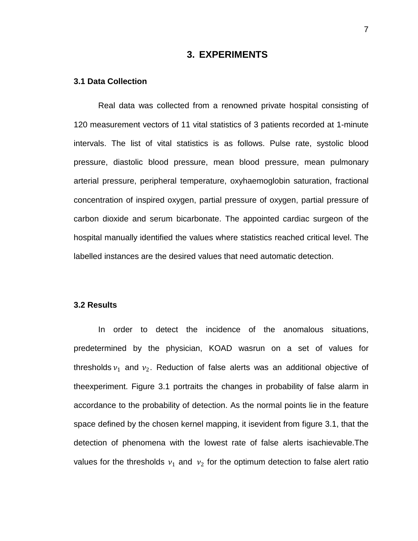### **3. EXPERIMENTS**

#### **3.1 Data Collection**

Real data was collected from a renowned private hospital consisting of 120 measurement vectors of 11 vital statistics of 3 patients recorded at 1-minute intervals. The list of vital statistics is as follows. Pulse rate, systolic blood pressure, diastolic blood pressure, mean blood pressure, mean pulmonary arterial pressure, peripheral temperature, oxyhaemoglobin saturation, fractional concentration of inspired oxygen, partial pressure of oxygen, partial pressure of carbon dioxide and serum bicarbonate. The appointed cardiac surgeon of the hospital manually identified the values where statistics reached critical level. The labelled instances are the desired values that need automatic detection.

### **3.2 Results**

In order to detect the incidence of the anomalous situations, predetermined by the physician, KOAD wasrun on a set of values for thresholds  $v_1$  and  $v_2$ . Reduction of false alerts was an additional objective of theexperiment. Figure 3.1 portraits the changes in probability of false alarm in accordance to the probability of detection. As the normal points lie in the feature space defined by the chosen kernel mapping, it isevident from figure 3.1, that the detection of phenomena with the lowest rate of false alerts isachievable.The values for the thresholds  $v_1$  and  $v_2$  for the optimum detection to false alert ratio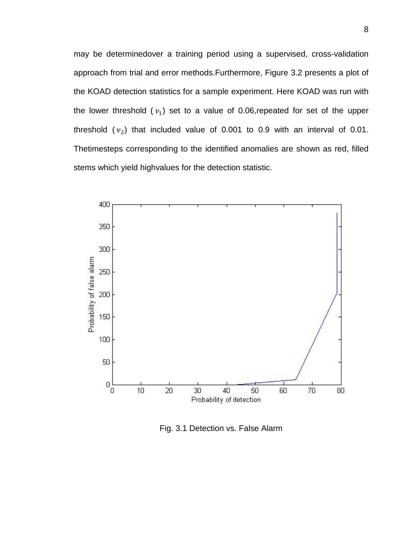may be determinedover a training period using a supervised, cross-validation approach from trial and error methods.Furthermore, Figure 3.2 presents a plot of the KOAD detection statistics for a sample experiment. Here KOAD was run with the lower threshold  $(v_1)$  set to a value of 0.06,repeated for set of the upper threshold  $(v_2)$  that included value of 0.001 to 0.9 with an interval of 0.01. Thetimesteps corresponding to the identified anomalies are shown as red, filled stems which yield highvalues for the detection statistic.



Fig. 3.1 Detection vs. False Alarm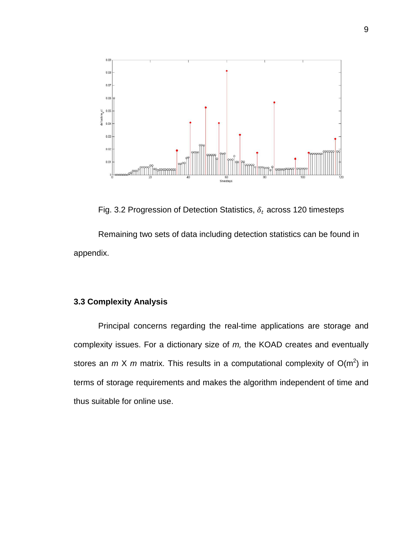

Fig. 3.2 Progression of Detection Statistics,  $\delta_t$  across 120 timesteps

Remaining two sets of data including detection statistics can be found in appendix.

### **3.3 Complexity Analysis**

Principal concerns regarding the real-time applications are storage and complexity issues. For a dictionary size of *m,* the KOAD creates and eventually stores an  $m \times m$  matrix. This results in a computational complexity of  $O(m^2)$  in terms of storage requirements and makes the algorithm independent of time and thus suitable for online use.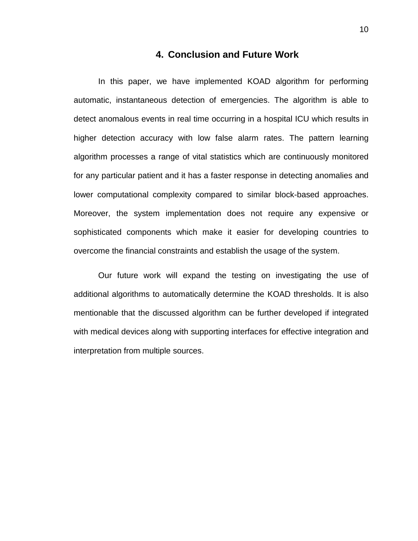### **4. Conclusion and Future Work**

In this paper, we have implemented KOAD algorithm for performing automatic, instantaneous detection of emergencies. The algorithm is able to detect anomalous events in real time occurring in a hospital ICU which results in higher detection accuracy with low false alarm rates. The pattern learning algorithm processes a range of vital statistics which are continuously monitored for any particular patient and it has a faster response in detecting anomalies and lower computational complexity compared to similar block-based approaches. Moreover, the system implementation does not require any expensive or sophisticated components which make it easier for developing countries to overcome the financial constraints and establish the usage of the system.

Our future work will expand the testing on investigating the use of additional algorithms to automatically determine the KOAD thresholds. It is also mentionable that the discussed algorithm can be further developed if integrated with medical devices along with supporting interfaces for effective integration and interpretation from multiple sources.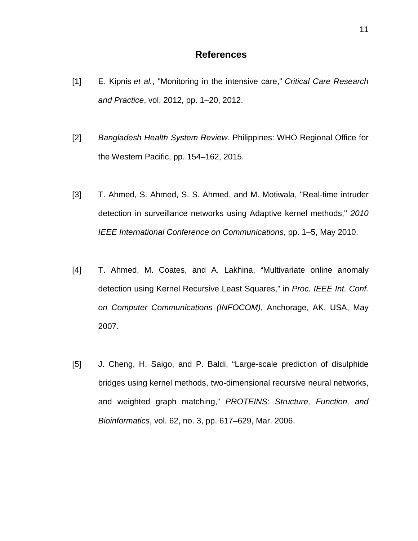## **References**

- [1] E. Kipnis *et al.*, "Monitoring in the intensive care," *Critical Care Research and Practice*, vol. 2012, pp. 1–20, 2012.
- [2] *Bangladesh Health System Review*. Philippines: WHO Regional Office for the Western Pacific, pp. 154–162, 2015.
- [3] T. Ahmed, S. Ahmed, S. S. Ahmed, and M. Motiwala, "Real-time intruder detection in surveillance networks using Adaptive kernel methods," *2010 IEEE International Conference on Communications*, pp. 1–5, May 2010.
- [4] T. Ahmed, M. Coates, and A. Lakhina, "Multivariate online anomaly detection using Kernel Recursive Least Squares," in *Proc. IEEE Int. Conf. on Computer Communications (INFOCOM)*, Anchorage, AK, USA, May 2007.
- [5] J. Cheng, H. Saigo, and P. Baldi, "Large-scale prediction of disulphide bridges using kernel methods, two-dimensional recursive neural networks, and weighted graph matching," *PROTEINS: Structure, Function, and Bioinformatics*, vol. 62, no. 3, pp. 617–629, Mar. 2006.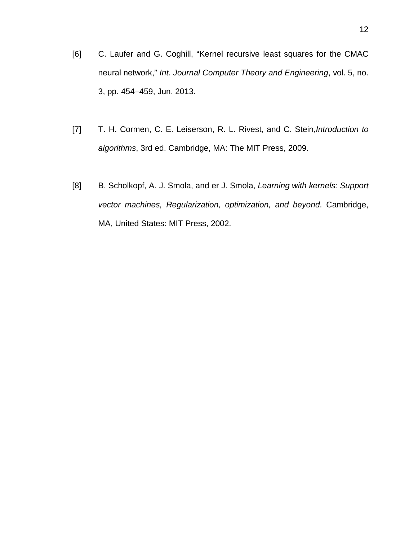- [6] C. Laufer and G. Coghill, "Kernel recursive least squares for the CMAC neural network," *Int. Journal Computer Theory and Engineering*, vol. 5, no. 3, pp. 454–459, Jun. 2013.
- [7] T. H. Cormen, C. E. Leiserson, R. L. Rivest, and C. Stein,*Introduction to algorithms*, 3rd ed. Cambridge, MA: The MIT Press, 2009.
- [8] B. Scholkopf, A. J. Smola, and er J. Smola, *Learning with kernels: Support vector machines, Regularization, optimization, and beyond*. Cambridge, MA, United States: MIT Press, 2002.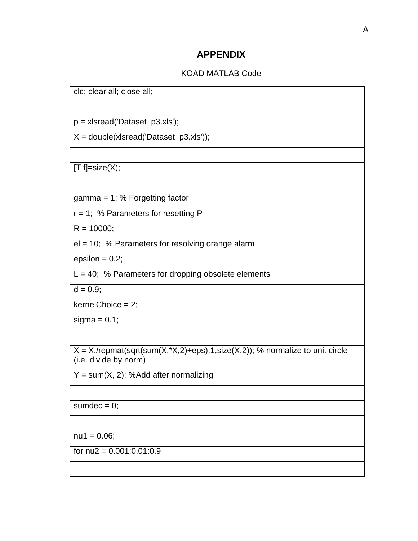## **APPENDIX**

## KOAD MATLAB Code

| clc; clear all; close all;                                                                               |
|----------------------------------------------------------------------------------------------------------|
|                                                                                                          |
| $p = x$ staread ('Dataset_p3.xls');                                                                      |
| $X = double(x sread('Database_p3.x s'));$                                                                |
|                                                                                                          |
| $[T f]=size(X);$                                                                                         |
|                                                                                                          |
| gamma = $1$ ; % Forgetting factor                                                                        |
| $r = 1$ ; % Parameters for resetting P                                                                   |
| $R = 10000$ ;                                                                                            |
| el = 10; % Parameters for resolving orange alarm                                                         |
| $\overline{e}$ psilon = 0.2;                                                                             |
| $L = 40$ ; % Parameters for dropping obsolete elements                                                   |
| $d = 0.9$ ;                                                                                              |
| $kernelChoice = 2;$                                                                                      |
| sigma = $0.1$ ;                                                                                          |
|                                                                                                          |
| $X = X$ ./repmat(sqrt(sum(X.*X,2)+eps),1,size(X,2)); % normalize to unit circle<br>(i.e. divide by norm) |
| $Y = sum(X, 2)$ ; %Add after normalizing                                                                 |
|                                                                                                          |
| sumdec = $0$ ;                                                                                           |
|                                                                                                          |
| $nu1 = 0.06;$                                                                                            |
| for $nu2 = 0.001:0.01:0.9$                                                                               |
|                                                                                                          |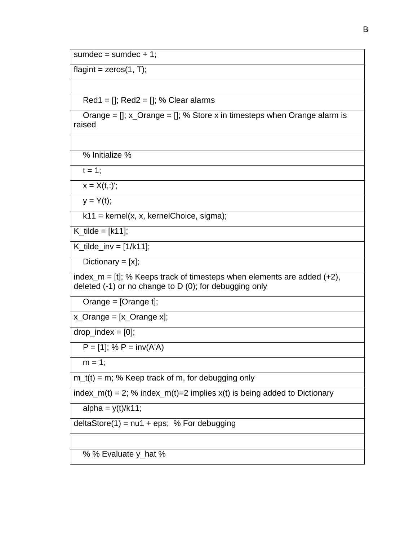sumdec =  $sumdec + 1$ ;

 $flagint = zeros(1, T);$ 

 $Red1 = []$ ;  $Red2 = []$ ; % Clear alarms

Orange =  $[]$ ; x\_Orange =  $[]$ ; % Store x in timesteps when Orange alarm is raised

% Initialize %

 $t = 1$ :

 $x = X(t, :)'$ ;

 $y = Y(t);$ 

 $k11$  = kernel(x, x, kernelChoice, sigma);

 $K_t$ tilde = [k11];

 $K_t$ ilde\_inv =  $[1/k11]$ ;

Dictionary  $= [x]$ ;

index\_m =  $[t]$ ; % Keeps track of timesteps when elements are added  $(+2)$ , deleted (-1) or no change to D (0); for debugging only

Orange = [Orange t];

x\_Orange = [x\_Orange x];

 $drop_index = [0];$ 

 $P = [1]$ ; %  $P = inv(A'A)$ 

 $m = 1$ :

 $m_t(t) = m$ ; % Keep track of m, for debugging only

index\_m(t) = 2; % index\_m(t)=2 implies  $x(t)$  is being added to Dictionary

alpha =  $y(t)/k11$ ;

 $deltaSpec(1) = nu1 + eps; % For debugging$ 

% % Evaluate y\_hat %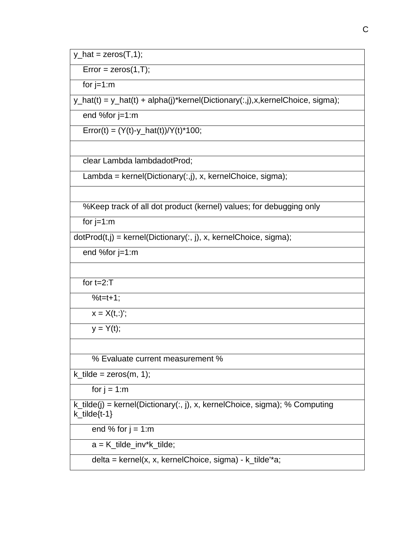$y_hat = zeros(T, 1);$ 

 $Error = zeros(1, T);$ 

for  $j=1:m$ 

y\_hat(t) = y\_hat(t) + alpha(j)\*kernel(Dictionary(:,j),x,kernelChoice, sigma);

end %for j=1:m

Error(t) =  $(Y(t)-y_hat(t))/Y(t)^*100;$ 

clear Lambda lambdadotProd;

Lambda = kernel(Dictionary(:,j), x, kernelChoice, sigma);

%Keep track of all dot product (kernel) values; for debugging only

for  $j=1:m$ 

 $dotProd(t,j) = kernel(Dictionary(:, j), x, kernelChoice, sigma);$ 

end %for j=1:m

for  $t=2$ :T

 $%t=t+1;$ 

 $x = X(t,:)$ ;

 $y = Y(t);$ 

% Evaluate current measurement %

 $k$ \_tilde = zeros(m, 1);

for  $j = 1:m$ 

k\_tilde(j) = kernel(Dictionary(:, j), x, kernelChoice, sigma); % Computing k\_tilde{t-1}

end % for  $j = 1$ :m

a = K\_tilde\_inv\*k\_tilde;

delta = kernel(x, x, kernelChoice, sigma) - k\_tilde'\*a;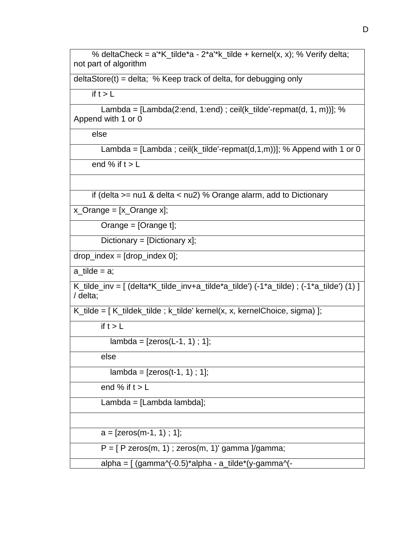% deltaCheck =  $a^*K_t$  tilde\*a -  $2^*a^*k_t$  tilde + kernel(x, x); % Verify delta; not part of algorithm

deltaStore(t) = delta; % Keep track of delta, for debugging only

if  $t > L$ 

Lambda =  $[Lambda(2:end, 1:end)$ ; ceil(k\_tilde'-repmat(d, 1, m))]; % Append with 1 or 0

else

Lambda = [Lambda ; ceil(k\_tilde'-repmat(d,1,m))]; % Append with 1 or 0

end % if  $t > L$ 

if (delta >= nu1 & delta < nu2) % Orange alarm, add to Dictionary

x\_Orange = [x\_Orange x];

Orange = [Orange t];

Dictionary = [Dictionary x];

 $drop\_index = [drop\_index 0];$ 

 $a$ \_tilde =  $a$ ;

K\_tilde\_inv =  $\left[$  (delta\*K\_tilde\_inv+a\_tilde\*a\_tilde') (-1\*a\_tilde) ; (-1\*a\_tilde') (1)  $\left[$ / delta;

K\_tilde =  $K_t$ tildek\_tilde ; k\_tilde' kernel $(x, x,$  kernelChoice, sigma) ];

if  $t > L$ 

 $lambda = [zeros(L-1, 1); 1];$ 

else

 $lambda = [zeros(t-1, 1); 1];$ 

end % if  $t > L$ 

Lambda = [Lambda lambda];

 $a = [zeros(m-1, 1) : 1]$ ;

 $P = [P \text{ zeros}(m, 1)$ ; zeros $(m, 1)'$  gamma  $\gamma$ gamma;

alpha =  $\int$  (gamma $\sqrt{-0.5}$ )\*alpha - a\_tilde\*(y-gamma $\sqrt{-0.5}$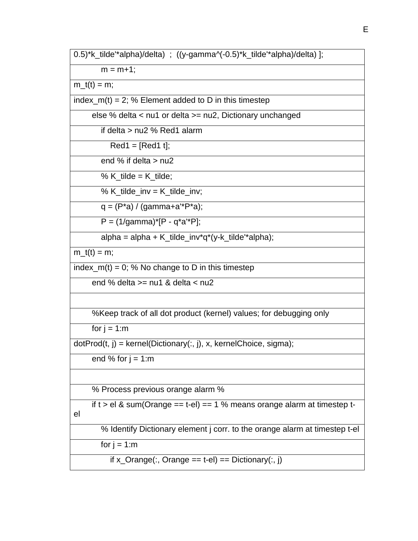$m = m + 1$ ;

 $m_t(t) = m$ ;

index\_m(t) = 2; % Element added to D in this timestep

else % delta < nu1 or delta >= nu2, Dictionary unchanged

if delta > nu2 % Red1 alarm

 $Red1 = [Red1 t];$ 

end % if delta  $>$  nu2

% K\_tilde =  $K$ \_tilde;

% K\_tilde\_inv =  $K$ \_tilde\_inv;

 $q = (P^*a) / (gamma + a^*P^*a);$ 

 $P = (1/qamma)^*[P - q^*a'^*P];$ 

alpha = alpha + K\_tilde\_inv\*q\*(y-k\_tilde'\*alpha);

 $m_t(t) = m$ ;

index\_m(t) = 0; % No change to D in this timestep

end % delta >= nu1 & delta < nu2

%Keep track of all dot product (kernel) values; for debugging only

for  $j = 1:m$ 

 $dotProd(t, j) = kernel(Dictionary(:, j), x, kernelChoice, sigma);$ 

end % for  $j = 1:m$ 

% Process previous orange alarm %

if  $t > e$  & sum(Orange == t-el) == 1 % means orange alarm at timestep tel

% Identify Dictionary element j corr. to the orange alarm at timestep t-el

for  $i = 1:m$ 

if  $x_C$ Orange $(:,$  Orange == t-el) == Dictionary $(:, i)$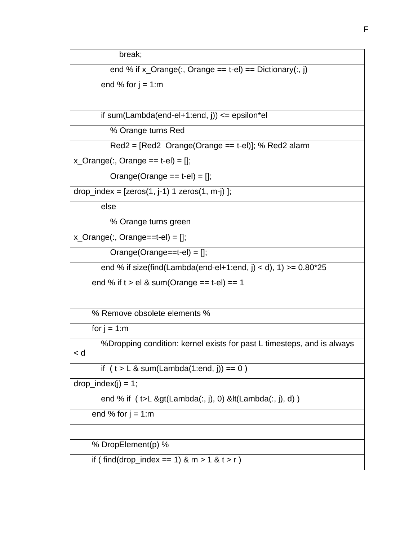break;

end % if  $x$ \_Orange $(:,$  Orange == t-el) == Dictionary $(:, j)$ 

end % for  $j = 1:m$ 

if sum(Lambda(end-el+1:end, j))  $\leq$  epsilon\*el

% Orange turns Red

Red2 = [Red2 Orange(Orange == t-el)]; % Red2 alarm

 $x_{\text{-}}\text{Orange}(:,\text{Orange} == t\text{-}el) = [];$ 

Orange(Orange  $==$  t-el)  $=$  [];

drop\_index =  $[zeros(1, j-1) 1 zeros(1, m-j)]$ ;

else

% Orange turns green

 $x_C$ Orange $(:,$ Orange==t-el $)$  = [];

Orange(Orange==t-el) = [];

end % if size(find(Lambda(end-el+1:end, j) < d), 1) > =  $0.80*25$ 

end % if  $t > e$ l & sum(Orange == t-el) == 1

% Remove obsolete elements %

for  $j = 1:m$ 

 %Dropping condition: kernel exists for past L timesteps, and is always < d

if  $(t > L & \text{sum(Lambda}(1:end, i)) == 0)$ 

drop\_index(j) =  $\overline{1}$ ;

end % if ( t>L &gt(Lambda(:, j), 0) &lt(Lambda(:, j), d) )

end % for  $j = 1:m$ 

% DropElement(p) %

if ( find(drop\_index == 1)  $\& m > 1 \& t > r$  )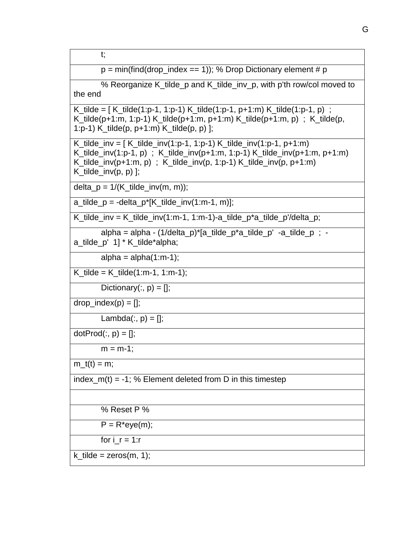t;

 $p = min(find(drop index == 1));$  % Drop Dictionary element # p

 % Reorganize K\_tilde\_p and K\_tilde\_inv\_p, with p'th row/col moved to the end

K\_tilde =  $[K$ \_tilde(1:p-1, 1:p-1) K\_tilde(1:p-1, p+1:m) K\_tilde(1:p-1, p) ; K\_tilde(p+1:m, 1:p-1) K\_tilde(p+1:m, p+1:m) K\_tilde(p+1:m, p) ; K\_tilde(p, 1:p-1) K\_tilde(p, p+1:m) K\_tilde(p, p) ];

K\_tilde\_inv =  $K$  tilde\_inv(1:p-1, 1:p-1) K\_tilde\_inv(1:p-1, p+1:m) K\_tilde\_inv(1:p-1, p) ; K\_tilde\_inv(p+1:m, 1:p-1) K\_tilde\_inv(p+1:m, p+1:m) K\_tilde\_inv(p+1:m, p) ; K\_tilde\_inv(p, 1:p-1) K\_tilde\_inv(p, p+1:m)  $K_t$ ilde\_inv(p, p) ];

delta  $p = 1/(K_t$ tilde\_inv(m, m));

 $a_{\text{t}}$ ilde\_ $p = -\text{delta}_p^*[K_{\text{t}}]$ ilde\_inv(1:m-1, m)];

 $K_t$ tilde\_inv =  $K_t$ tilde\_inv(1:m-1, 1:m-1)-a\_tilde\_p\*a\_tilde\_p'/delta\_p;

 $alpha = alpha - (1/delta_p)^*[a_tilde_p^*a_tilde_p^* - a_tilde_p^- - a_tilde_p^-]$ a\_tilde\_p' 1] \* K\_tilde\*alpha;

alpha =  $alpha(1:m-1)$ ;

K\_tilde = K\_tilde(1:m-1, 1:m-1);

Dictionary $(:, p) = []$ ;

 $drop\_index(p) = []$ ;

Lambda $(:, p) = []$ ;

 $dotProd(:, p) = []$ ;

```
m = m-1;
```
 $m_t(t) = m;$ 

index\_m(t) =  $-1$ ; % Element deleted from D in this timestep

% Reset P %

 $P = R*eye(m);$ 

for  $i$   $r = 1:r$ 

k tilde = zeros(m, 1);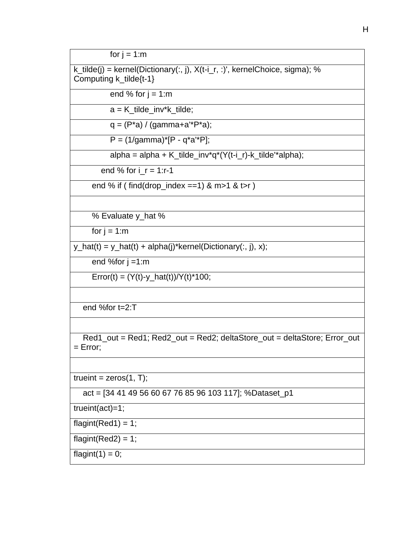for  $j = 1:m$ 

k\_tilde(j) = kernel(Dictionary(:, j), X(t-i\_r, :)', kernelChoice, sigma); % Computing k\_tilde{t-1}

end % for  $j = 1:m$ 

 $a = K$  tilde inv\*k\_tilde;

 $q = (P^*a) / (gamma + a^*P^*a);$ 

 $P = (1/qamma)^*[P - q^*a'^*P]$ ;

alpha = alpha + K\_tilde\_inv\*q\*(Y(t-i\_r)-k\_tilde'\*alpha);

end % for  $i = 1$ :r-1

end % if ( $find(drop_index == 1)$  & m>1 & t>r)

% Evaluate y\_hat %

for  $j = 1:m$ 

 $y_h = y_h + z(t) + a_h = f(y_h) + b_h = f(x_h) + b_h = f(x_h) + b_h = f(x_h) + b_h = f(x_h) + b_h = f(x_h) + b_h = f(x_h) + b_h = f(x_h) + b_h = f(x_h) + b_h = f(x_h) + b_h = f(x_h) + b_h = f(x_h) + b_h = f(x_h) + b_h = f(x_h) + b_h = f(x_h) + b_h = f(x_h) + b_h = f(x_h) + b_h = f(x_h) + b_h = f(x_h) + b_h = f(x_h) + b_h = f(x_h) + b_h = f(x_h) + b_h = f(x_h) + b_h = f(x_h) + b_h = f(x_h) + b_h = f(x_h) + b_h$ 

end %for  $j = 1:m$ 

 $Error(t) = (Y(t)-y_hat(t))/Y(t)*100;$ 

end %for t=2:T

 Red1\_out = Red1; Red2\_out = Red2; deltaStore\_out = deltaStore; Error\_out  $=$  Error;

trueint =  $zeros(1, T)$ ;

act = [34 41 49 56 60 67 76 85 96 103 117]; %Dataset\_p1

trueint(act)=1;

flagint(Red1) =  $1$ ;

flagint(Red2) =  $1$ ;

flagint $(1) = 0$ ;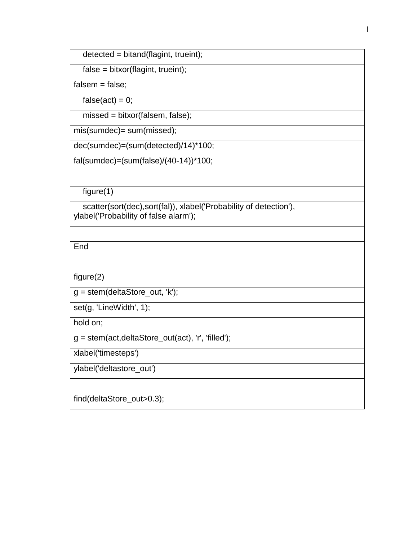$detected = bitand(flagint, trueint);$ 

false = bitxor(flagint, trueint);

 $false$ ;

false(act) =  $0$ ;

missed = bitxor(falsem, false);

mis(sumdec)= sum(missed);

dec(sumdec)=(sum(detected)/14)\*100;

fal(sumdec)=(sum(false)/(40-14))\*100;

 $figure(1)$ 

 scatter(sort(dec),sort(fal)), xlabel('Probability of detection'), ylabel('Probability of false alarm');

End

figure(2)

g = stem(deltaStore\_out, 'k');

set(g, 'LineWidth', 1);

hold on;

g = stem(act,deltaStore\_out(act), 'r', 'filled');

xlabel('timesteps')

ylabel('deltastore\_out')

find(deltaStore\_out>0.3);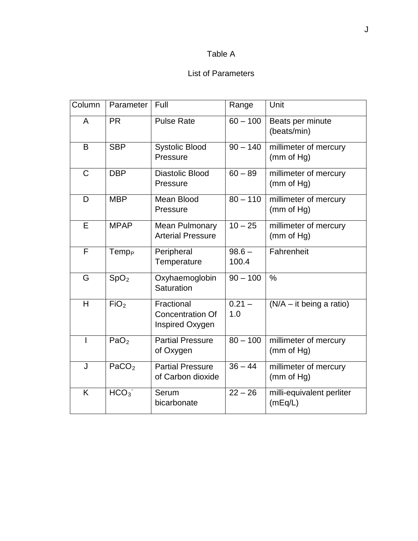## Table A

## List of Parameters

| Column       | Parameter         | Full                                                     | Range             | Unit                                 |
|--------------|-------------------|----------------------------------------------------------|-------------------|--------------------------------------|
| A            | <b>PR</b>         | <b>Pulse Rate</b>                                        | $60 - 100$        | Beats per minute<br>(beats/min)      |
| B            | <b>SBP</b>        | <b>Systolic Blood</b><br>Pressure                        | $90 - 140$        | millimeter of mercury<br>(mm of Hg)  |
| $\mathsf{C}$ | <b>DBP</b>        | Diastolic Blood<br>Pressure                              | $60 - 89$         | millimeter of mercury<br>(mm of Hg)  |
| D            | <b>MBP</b>        | Mean Blood<br>Pressure                                   | $80 - 110$        | millimeter of mercury<br>(mm of Hg)  |
| E            | <b>MPAP</b>       | <b>Mean Pulmonary</b><br><b>Arterial Pressure</b>        | $10 - 25$         | millimeter of mercury<br>(mm of Hg)  |
| F            | Temp <sub>P</sub> | Peripheral<br>Temperature                                | $98.6 -$<br>100.4 | Fahrenheit                           |
| G            | SpO <sub>2</sub>  | Oxyhaemoglobin<br>Saturation                             | $90 - 100$        | $\frac{0}{0}$                        |
| H            | FiO <sub>2</sub>  | Fractional<br><b>Concentration Of</b><br>Inspired Oxygen | $0.21 -$<br>1.0   | $(N/A - it being a ratio)$           |
| Ш            | PaO <sub>2</sub>  | <b>Partial Pressure</b><br>of Oxygen                     | $80 - 100$        | millimeter of mercury<br>(mm of Hg)  |
| J            | PaCO <sub>2</sub> | <b>Partial Pressure</b><br>of Carbon dioxide             | $36 - 44$         | millimeter of mercury<br>(mm of Hg)  |
| K            | HCO <sub>3</sub>  | Serum<br>bicarbonate                                     | $22 - 26$         | milli-equivalent perliter<br>(mEq/L) |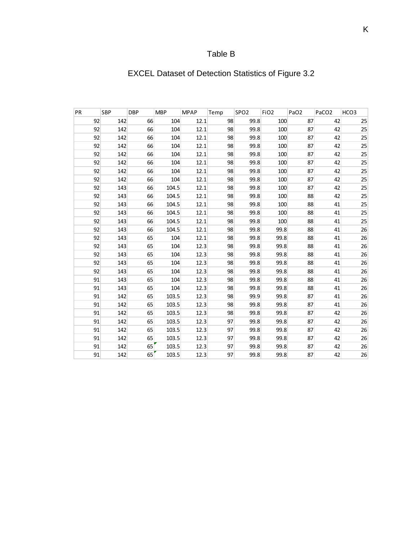## Table B

# EXCEL Dataset of Detection Statistics of Figure 3.2

| PR | <b>SBP</b> | <b>DBP</b> | <b>MBP</b> | <b>MPAP</b> | Temp | SPO <sub>2</sub> | FiO <sub>2</sub> | PaO <sub>2</sub> | PaCO <sub>2</sub> | HCO3 |
|----|------------|------------|------------|-------------|------|------------------|------------------|------------------|-------------------|------|
| 92 | 142        | 66         | 104        | 12.1        | 98   | 99.8             | 100              | 87               | 42                | 25   |
| 92 | 142        | 66         | 104        | 12.1        | 98   | 99.8             | 100              | 87               | 42                | 25   |
| 92 | 142        | 66         | 104        | 12.1        | 98   | 99.8             | 100              | 87               | 42                | 25   |
| 92 | 142        | 66         | 104        | 12.1        | 98   | 99.8             | 100              | 87               | 42                | 25   |
| 92 | 142        | 66         | 104        | 12.1        | 98   | 99.8             | 100              | 87               | 42                | 25   |
| 92 | 142        | 66         | 104        | 12.1        | 98   | 99.8             | 100              | 87               | 42                | 25   |
| 92 | 142        | 66         | 104        | 12.1        | 98   | 99.8             | 100              | 87               | 42                | 25   |
| 92 | 142        | 66         | 104        | 12.1        | 98   | 99.8             | 100              | 87               | 42                | 25   |
| 92 | 143        | 66         | 104.5      | 12.1        | 98   | 99.8             | 100              | 87               | 42                | 25   |
| 92 | 143        | 66         | 104.5      | 12.1        | 98   | 99.8             | 100              | 88               | 42                | 25   |
| 92 | 143        | 66         | 104.5      | 12.1        | 98   | 99.8             | 100              | 88               | 41                | 25   |
| 92 | 143        | 66         | 104.5      | 12.1        | 98   | 99.8             | 100              | 88               | 41                | 25   |
| 92 | 143        | 66         | 104.5      | 12.1        | 98   | 99.8             | 100              | 88               | 41                | 25   |
| 92 | 143        | 66         | 104.5      | 12.1        | 98   | 99.8             | 99.8             | 88               | 41                | 26   |
| 92 | 143        | 65         | 104        | 12.1        | 98   | 99.8             | 99.8             | 88               | 41                | 26   |
| 92 | 143        | 65         | 104        | 12.3        | 98   | 99.8             | 99.8             | 88               | 41                | 26   |
| 92 | 143        | 65         | 104        | 12.3        | 98   | 99.8             | 99.8             | 88               | 41                | 26   |
| 92 | 143        | 65         | 104        | 12.3        | 98   | 99.8             | 99.8             | 88               | 41                | 26   |
| 92 | 143        | 65         | 104        | 12.3        | 98   | 99.8             | 99.8             | 88               | 41                | 26   |
| 91 | 143        | 65         | 104        | 12.3        | 98   | 99.8             | 99.8             | 88               | 41                | 26   |
| 91 | 143        | 65         | 104        | 12.3        | 98   | 99.8             | 99.8             | 88               | 41                | 26   |
| 91 | 142        | 65         | 103.5      | 12.3        | 98   | 99.9             | 99.8             | 87               | 41                | 26   |
| 91 | 142        | 65         | 103.5      | 12.3        | 98   | 99.8             | 99.8             | 87               | 41                | 26   |
| 91 | 142        | 65         | 103.5      | 12.3        | 98   | 99.8             | 99.8             | 87               | 42                | 26   |
| 91 | 142        | 65         | 103.5      | 12.3        | 97   | 99.8             | 99.8             | 87               | 42                | 26   |
| 91 | 142        | 65         | 103.5      | 12.3        | 97   | 99.8             | 99.8             | 87               | 42                | 26   |
| 91 | 142        | 65         | 103.5      | 12.3        | 97   | 99.8             | 99.8             | 87               | 42                | 26   |
| 91 | 142        | 65         | 103.5      | 12.3        | 97   | 99.8             | 99.8             | 87               | 42                | 26   |
| 91 | 142        | 65         | 103.5      | 12.3        | 97   | 99.8             | 99.8             | 87               | 42                | 26   |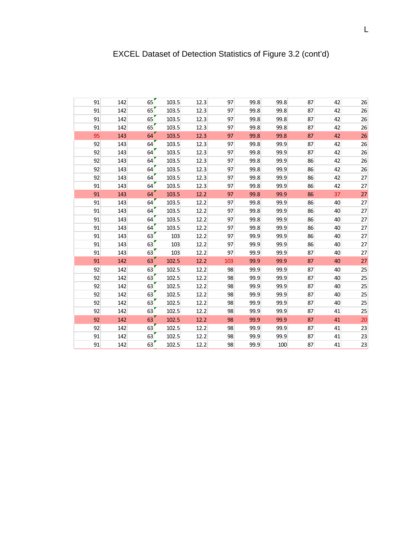| 91 | 142 | 65 | 103.5 | 12.3 | 97  | 99.8 | 99.8 | 87 | 42 | 26 |
|----|-----|----|-------|------|-----|------|------|----|----|----|
| 91 | 142 | 65 | 103.5 | 12.3 | 97  | 99.8 | 99.8 | 87 | 42 | 26 |
| 91 | 142 | 65 | 103.5 | 12.3 | 97  | 99.8 | 99.8 | 87 | 42 | 26 |
| 91 | 142 | 65 | 103.5 | 12.3 | 97  | 99.8 | 99.8 | 87 | 42 | 26 |
| 95 | 143 | 64 | 103.5 | 12.3 | 97  | 99.8 | 99.8 | 87 | 42 | 26 |
| 92 | 143 | 64 | 103.5 | 12.3 | 97  | 99.8 | 99.9 | 87 | 42 | 26 |
| 92 | 143 | 64 | 103.5 | 12.3 | 97  | 99.8 | 99.9 | 87 | 42 | 26 |
| 92 | 143 | 64 | 103.5 | 12.3 | 97  | 99.8 | 99.9 | 86 | 42 | 26 |
| 92 | 143 | 64 | 103.5 | 12.3 | 97  | 99.8 | 99.9 | 86 | 42 | 26 |
| 92 | 143 | 64 | 103.5 | 12.3 | 97  | 99.8 | 99.9 | 86 | 42 | 27 |
| 91 | 143 | 64 | 103.5 | 12.3 | 97  | 99.8 | 99.9 | 86 | 42 | 27 |
| 91 | 143 | 64 | 103.5 | 12.2 | 97  | 99.8 | 99.9 | 86 | 37 | 27 |
| 91 | 143 | 64 | 103.5 | 12.2 | 97  | 99.8 | 99.9 | 86 | 40 | 27 |
| 91 | 143 | 64 | 103.5 | 12.2 | 97  | 99.8 | 99.9 | 86 | 40 | 27 |
| 91 | 143 | 64 | 103.5 | 12.2 | 97  | 99.8 | 99.9 | 86 | 40 | 27 |
| 91 | 143 | 64 | 103.5 | 12.2 | 97  | 99.8 | 99.9 | 86 | 40 | 27 |
| 91 | 143 | 63 | 103   | 12.2 | 97  | 99.9 | 99.9 | 86 | 40 | 27 |
| 91 | 143 | 63 | 103   | 12.2 | 97  | 99.9 | 99.9 | 86 | 40 | 27 |
| 91 | 143 | 63 | 103   | 12.2 | 97  | 99.9 | 99.9 | 87 | 40 | 27 |
| 91 | 142 | 63 | 102.5 | 12.2 | 103 | 99.9 | 99.9 | 87 | 40 | 27 |
| 92 | 142 | 63 | 102.5 | 12.2 | 98  | 99.9 | 99.9 | 87 | 40 | 25 |
| 92 | 142 | 63 | 102.5 | 12.2 | 98  | 99.9 | 99.9 | 87 | 40 | 25 |
| 92 | 142 | 63 | 102.5 | 12.2 | 98  | 99.9 | 99.9 | 87 | 40 | 25 |
| 92 | 142 | 63 | 102.5 | 12.2 | 98  | 99.9 | 99.9 | 87 | 40 | 25 |
| 92 | 142 | 63 | 102.5 | 12.2 | 98  | 99.9 | 99.9 | 87 | 40 | 25 |
| 92 | 142 | 63 | 102.5 | 12.2 | 98  | 99.9 | 99.9 | 87 | 41 | 25 |
| 92 | 142 | 63 | 102.5 | 12.2 | 98  | 99.9 | 99.9 | 87 | 41 | 20 |
| 92 | 142 | 63 | 102.5 | 12.2 | 98  | 99.9 | 99.9 | 87 | 41 | 23 |
| 91 | 142 | 63 | 102.5 | 12.2 | 98  | 99.9 | 99.9 | 87 | 41 | 23 |
| 91 | 142 | 63 | 102.5 | 12.2 | 98  | 99.9 | 100  | 87 | 41 | 23 |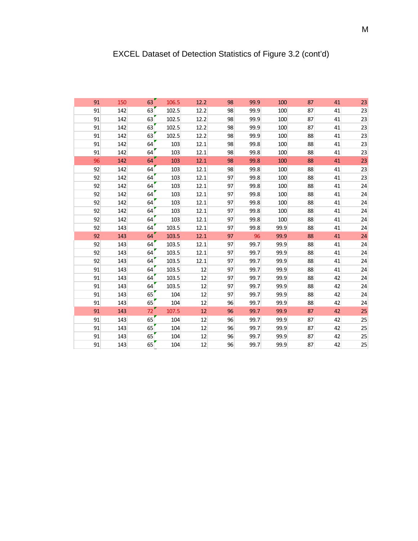| 91 | 150 | 63 | 106.5 | 12.2 | 98 | 99.9 | 100  | 87 | 41 | 23 |
|----|-----|----|-------|------|----|------|------|----|----|----|
| 91 | 142 | 63 | 102.5 | 12.2 | 98 | 99.9 | 100  | 87 | 41 | 23 |
| 91 | 142 | 63 | 102.5 | 12.2 | 98 | 99.9 | 100  | 87 | 41 | 23 |
| 91 | 142 | 63 | 102.5 | 12.2 | 98 | 99.9 | 100  | 87 | 41 | 23 |
| 91 | 142 | 63 | 102.5 | 12.2 | 98 | 99.9 | 100  | 88 | 41 | 23 |
| 91 | 142 | 64 | 103   | 12.1 | 98 | 99.8 | 100  | 88 | 41 | 23 |
| 91 | 142 | 64 | 103   | 12.1 | 98 | 99.8 | 100  | 88 | 41 | 23 |
| 96 | 142 | 64 | 103   | 12.1 | 98 | 99.8 | 100  | 88 | 41 | 23 |
| 92 | 142 | 64 | 103   | 12.1 | 98 | 99.8 | 100  | 88 | 41 | 23 |
| 92 | 142 | 64 | 103   | 12.1 | 97 | 99.8 | 100  | 88 | 41 | 23 |
| 92 | 142 | 64 | 103   | 12.1 | 97 | 99.8 | 100  | 88 | 41 | 24 |
| 92 | 142 | 64 | 103   | 12.1 | 97 | 99.8 | 100  | 88 | 41 | 24 |
| 92 | 142 | 64 | 103   | 12.1 | 97 | 99.8 | 100  | 88 | 41 | 24 |
| 92 | 142 | 64 | 103   | 12.1 | 97 | 99.8 | 100  | 88 | 41 | 24 |
| 92 | 142 | 64 | 103   | 12.1 | 97 | 99.8 | 100  | 88 | 41 | 24 |
| 92 | 143 | 64 | 103.5 | 12.1 | 97 | 99.8 | 99.9 | 88 | 41 | 24 |
| 92 | 143 | 64 | 103.5 | 12.1 | 97 | 96   | 99.9 | 88 | 41 | 24 |
| 92 | 143 | 64 | 103.5 | 12.1 | 97 | 99.7 | 99.9 | 88 | 41 | 24 |
| 92 | 143 | 64 | 103.5 | 12.1 | 97 | 99.7 | 99.9 | 88 | 41 | 24 |
| 92 | 143 | 64 | 103.5 | 12.1 | 97 | 99.7 | 99.9 | 88 | 41 | 24 |
| 91 | 143 | 64 | 103.5 | 12   | 97 | 99.7 | 99.9 | 88 | 41 | 24 |
| 91 | 143 | 64 | 103.5 | 12   | 97 | 99.7 | 99.9 | 88 | 42 | 24 |
| 91 | 143 | 64 | 103.5 | 12   | 97 | 99.7 | 99.9 | 88 | 42 | 24 |
| 91 | 143 | 65 | 104   | 12   | 97 | 99.7 | 99.9 | 88 | 42 | 24 |
| 91 | 143 | 65 | 104   | 12   | 96 | 99.7 | 99.9 | 88 | 42 | 24 |
| 91 | 143 | 72 | 107.5 | 12   | 96 | 99.7 | 99.9 | 87 | 42 | 25 |
| 91 | 143 | 65 | 104   | 12   | 96 | 99.7 | 99.9 | 87 | 42 | 25 |
| 91 | 143 | 65 | 104   | 12   | 96 | 99.7 | 99.9 | 87 | 42 | 25 |
| 91 | 143 | 65 | 104   | 12   | 96 | 99.7 | 99.9 | 87 | 42 | 25 |
| 91 | 143 | 65 | 104   | 12   | 96 | 99.7 | 99.9 | 87 | 42 | 25 |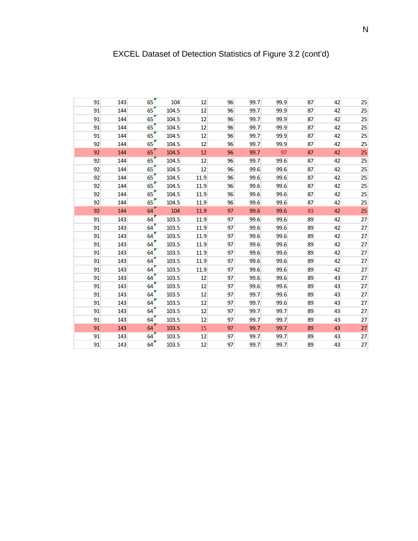| 91<br>91 | 143<br>144 | 65 | 104   | 12   | 96 | 99.7 | 99.9 | 87 | 42 | 25 |
|----------|------------|----|-------|------|----|------|------|----|----|----|
|          |            |    |       |      |    |      |      |    |    |    |
|          |            | 65 | 104.5 | 12   | 96 | 99.7 | 99.9 | 87 | 42 | 25 |
| 91       | 144        | 65 | 104.5 | 12   | 96 | 99.7 | 99.9 | 87 | 42 | 25 |
| 91       | 144        | 65 | 104.5 | 12   | 96 | 99.7 | 99.9 | 87 | 42 | 25 |
| 91       | 144        | 65 | 104.5 | 12   | 96 | 99.7 | 99.9 | 87 | 42 | 25 |
| 92       | 144        | 65 | 104.5 | 12   | 96 | 99.7 | 99.9 | 87 | 42 | 25 |
| 92       | 144        | 65 | 104.5 | 12   | 96 | 99.7 | 97   | 87 | 42 | 25 |
| 92       | 144        | 65 | 104.5 | 12   | 96 | 99.7 | 99.6 | 87 | 42 | 25 |
| 92       | 144        | 65 | 104.5 | 12   | 96 | 99.6 | 99.6 | 87 | 42 | 25 |
| 92       | 144        | 65 | 104.5 | 11.9 | 96 | 99.6 | 99.6 | 87 | 42 | 25 |
| 92       | 144        | 65 | 104.5 | 11.9 | 96 | 99.6 | 99.6 | 87 | 42 | 25 |
| 92       | 144        | 65 | 104.5 | 11.9 | 96 | 99.6 | 99.6 | 87 | 42 | 25 |
| 92       | 144        | 65 | 104.5 | 11.9 | 96 | 99.6 | 99.6 | 87 | 42 | 25 |
| 92       | 144        | 64 | 104   | 11.9 | 97 | 99.6 | 99.6 | 83 | 42 | 25 |
| 91       | 143        | 64 | 103.5 | 11.9 | 97 | 99.6 | 99.6 | 89 | 42 | 27 |
| 91       | 143        | 64 | 103.5 | 11.9 | 97 | 99.6 | 99.6 | 89 | 42 | 27 |
| 91       | 143        | 64 | 103.5 | 11.9 | 97 | 99.6 | 99.6 | 89 | 42 | 27 |
| 91       | 143        | 64 | 103.5 | 11.9 | 97 | 99.6 | 99.6 | 89 | 42 | 27 |
| 91       | 143        | 64 | 103.5 | 11.9 | 97 | 99.6 | 99.6 | 89 | 42 | 27 |
| 91       | 143        | 64 | 103.5 | 11.9 | 97 | 99.6 | 99.6 | 89 | 42 | 27 |
| 91       | 143        | 64 | 103.5 | 11.9 | 97 | 99.6 | 99.6 | 89 | 42 | 27 |
| 91       | 143        | 64 | 103.5 | 12   | 97 | 99.6 | 99.6 | 89 | 43 | 27 |
| 91       | 143        | 64 | 103.5 | 12   | 97 | 99.6 | 99.6 | 89 | 43 | 27 |
| 91       | 143        | 64 | 103.5 | 12   | 97 | 99.7 | 99.6 | 89 | 43 | 27 |
| 91       | 143        | 64 | 103.5 | 12   | 97 | 99.7 | 99.6 | 89 | 43 | 27 |
| 91       | 143        | 64 | 103.5 | 12   | 97 | 99.7 | 99.7 | 89 | 43 | 27 |
| 91       | 143        | 64 | 103.5 | 12   | 97 | 99.7 | 99.7 | 89 | 43 | 27 |
| 91       | 143        | 64 | 103.5 | 15   | 97 | 99.7 | 99.7 | 89 | 43 | 27 |
| 91       | 143        | 64 | 103.5 | 12   | 97 | 99.7 | 99.7 | 89 | 43 | 27 |
| 91       | 143        | 64 | 103.5 | 12   | 97 | 99.7 | 99.7 | 89 | 43 | 27 |